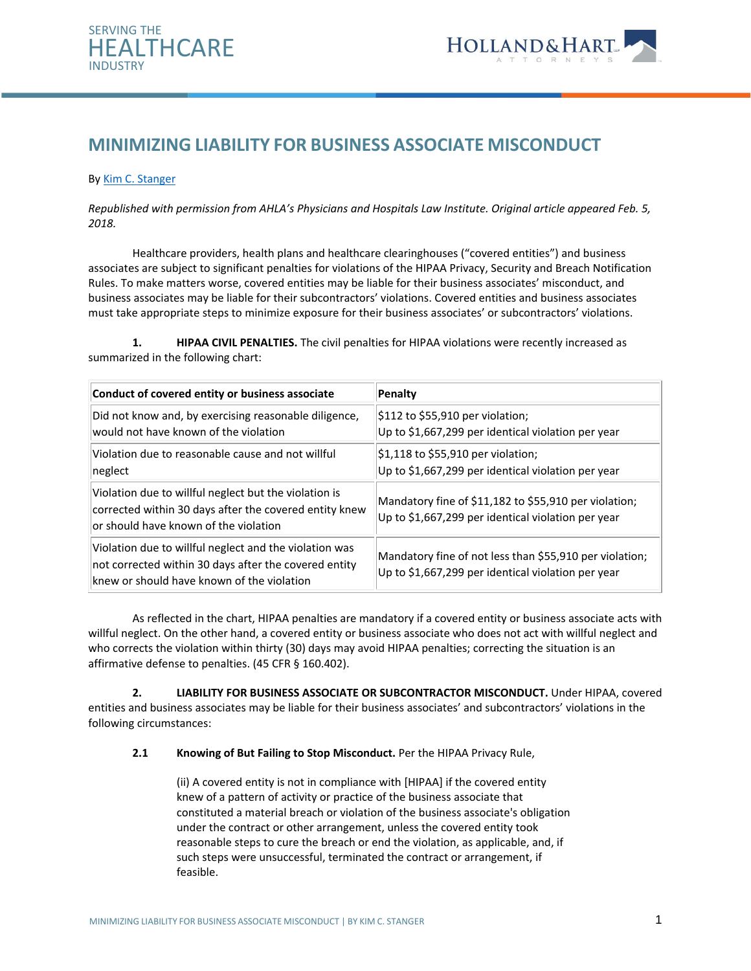



# **MINIMIZING LIABILITY FOR BUSINESS ASSOCIATE MISCONDUCT**

#### By [Kim C. Stanger](mailto:kcstanger@hollandhart.com)

*Republished with permission from AHLA's Physicians and Hospitals Law Institute. Original article appeared Feb. 5, 2018.* 

Healthcare providers, health plans and healthcare clearinghouses ("covered entities") and business associates are subject to significant penalties for violations of the HIPAA Privacy, Security and Breach Notification Rules. To make matters worse, covered entities may be liable for their business associates' misconduct, and business associates may be liable for their subcontractors' violations. Covered entities and business associates must take appropriate steps to minimize exposure for their business associates' or subcontractors' violations.

**1. HIPAA CIVIL PENALTIES.** The civil penalties for HIPAA violations were recently increased as summarized in the following chart:

| Conduct of covered entity or business associate                                                                                                               | Penalty                                                                                                       |
|---------------------------------------------------------------------------------------------------------------------------------------------------------------|---------------------------------------------------------------------------------------------------------------|
| Did not know and, by exercising reasonable diligence,<br>would not have known of the violation                                                                | $\frac{1}{2}112$ to \$55,910 per violation;<br>Up to \$1,667,299 per identical violation per year             |
| Violation due to reasonable cause and not willful<br>neglect                                                                                                  | $$1,118$ to \$55,910 per violation;<br>Up to \$1,667,299 per identical violation per year                     |
| Violation due to willful neglect but the violation is<br>corrected within 30 days after the covered entity knew<br>or should have known of the violation      | Mandatory fine of \$11,182 to \$55,910 per violation;<br>Up to \$1,667,299 per identical violation per year   |
| Violation due to willful neglect and the violation was<br>not corrected within 30 days after the covered entity<br>knew or should have known of the violation | Mandatory fine of not less than \$55,910 per violation;<br>Up to \$1,667,299 per identical violation per year |

As reflected in the chart, HIPAA penalties are mandatory if a covered entity or business associate acts with willful neglect. On the other hand, a covered entity or business associate who does not act with willful neglect and who corrects the violation within thirty (30) days may avoid HIPAA penalties; correcting the situation is an affirmative defense to penalties. (45 CFR § 160.402).

**2. LIABILITY FOR BUSINESS ASSOCIATE OR SUBCONTRACTOR MISCONDUCT.** Under HIPAA, covered entities and business associates may be liable for their business associates' and subcontractors' violations in the following circumstances:

**2.1 Knowing of But Failing to Stop Misconduct.** Per the HIPAA Privacy Rule,

(ii) A covered entity is not in compliance with [HIPAA] if the covered entity knew of a pattern of activity or practice of the business associate that constituted a material breach or violation of the business associate's obligation under the contract or other arrangement, unless the covered entity took reasonable steps to cure the breach or end the violation, as applicable, and, if such steps were unsuccessful, terminated the contract or arrangement, if feasible.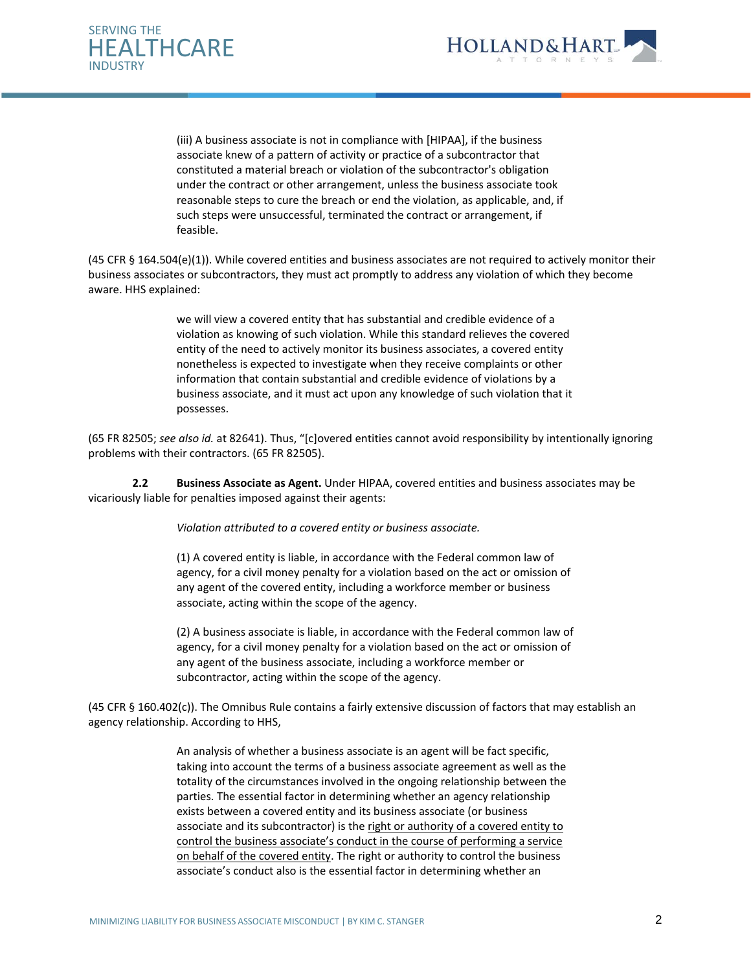



(iii) A business associate is not in compliance with [HIPAA], if the business associate knew of a pattern of activity or practice of a subcontractor that constituted a material breach or violation of the subcontractor's obligation under the contract or other arrangement, unless the business associate took reasonable steps to cure the breach or end the violation, as applicable, and, if such steps were unsuccessful, terminated the contract or arrangement, if feasible.

(45 CFR § 164.504(e)(1)). While covered entities and business associates are not required to actively monitor their business associates or subcontractors, they must act promptly to address any violation of which they become aware. HHS explained:

> we will view a covered entity that has substantial and credible evidence of a violation as knowing of such violation. While this standard relieves the covered entity of the need to actively monitor its business associates, a covered entity nonetheless is expected to investigate when they receive complaints or other information that contain substantial and credible evidence of violations by a business associate, and it must act upon any knowledge of such violation that it possesses.

(65 FR 82505; *see also id.* at 82641). Thus, "[c]overed entities cannot avoid responsibility by intentionally ignoring problems with their contractors. (65 FR 82505).

**2.2 Business Associate as Agent.** Under HIPAA, covered entities and business associates may be vicariously liable for penalties imposed against their agents:

*Violation attributed to a covered entity or business associate.* 

(1) A covered entity is liable, in accordance with the Federal common law of agency, for a civil money penalty for a violation based on the act or omission of any agent of the covered entity, including a workforce member or business associate, acting within the scope of the agency.

(2) A business associate is liable, in accordance with the Federal common law of agency, for a civil money penalty for a violation based on the act or omission of any agent of the business associate, including a workforce member or subcontractor, acting within the scope of the agency.

(45 CFR § 160.402(c)). The Omnibus Rule contains a fairly extensive discussion of factors that may establish an agency relationship. According to HHS,

> An analysis of whether a business associate is an agent will be fact specific, taking into account the terms of a business associate agreement as well as the totality of the circumstances involved in the ongoing relationship between the parties. The essential factor in determining whether an agency relationship exists between a covered entity and its business associate (or business associate and its subcontractor) is the right or authority of a covered entity to control the business associate's conduct in the course of performing a service on behalf of the covered entity. The right or authority to control the business associate's conduct also is the essential factor in determining whether an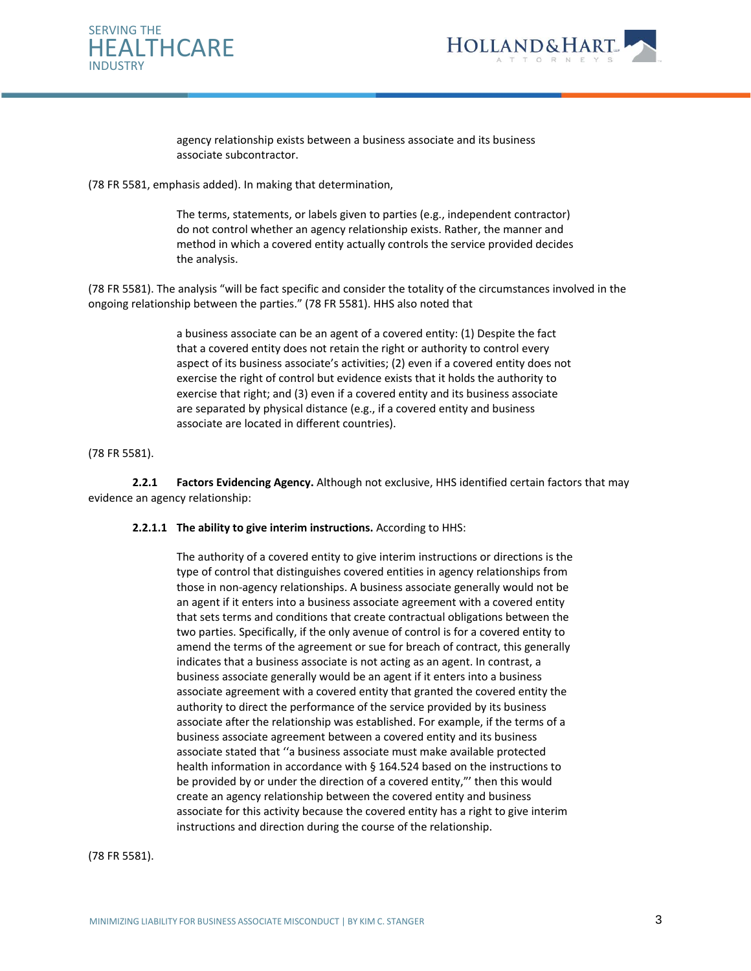



agency relationship exists between a business associate and its business associate subcontractor.

(78 FR 5581, emphasis added). In making that determination,

The terms, statements, or labels given to parties (e.g., independent contractor) do not control whether an agency relationship exists. Rather, the manner and method in which a covered entity actually controls the service provided decides the analysis.

(78 FR 5581). The analysis "will be fact specific and consider the totality of the circumstances involved in the ongoing relationship between the parties." (78 FR 5581). HHS also noted that

> a business associate can be an agent of a covered entity: (1) Despite the fact that a covered entity does not retain the right or authority to control every aspect of its business associate's activities; (2) even if a covered entity does not exercise the right of control but evidence exists that it holds the authority to exercise that right; and (3) even if a covered entity and its business associate are separated by physical distance (e.g., if a covered entity and business associate are located in different countries).

## (78 FR 5581).

**2.2.1 Factors Evidencing Agency.** Although not exclusive, HHS identified certain factors that may evidence an agency relationship:

#### **2.2.1.1 The ability to give interim instructions.** According to HHS:

The authority of a covered entity to give interim instructions or directions is the type of control that distinguishes covered entities in agency relationships from those in non-agency relationships. A business associate generally would not be an agent if it enters into a business associate agreement with a covered entity that sets terms and conditions that create contractual obligations between the two parties. Specifically, if the only avenue of control is for a covered entity to amend the terms of the agreement or sue for breach of contract, this generally indicates that a business associate is not acting as an agent. In contrast, a business associate generally would be an agent if it enters into a business associate agreement with a covered entity that granted the covered entity the authority to direct the performance of the service provided by its business associate after the relationship was established. For example, if the terms of a business associate agreement between a covered entity and its business associate stated that ''a business associate must make available protected health information in accordance with § 164.524 based on the instructions to be provided by or under the direction of a covered entity,"' then this would create an agency relationship between the covered entity and business associate for this activity because the covered entity has a right to give interim instructions and direction during the course of the relationship.

(78 FR 5581).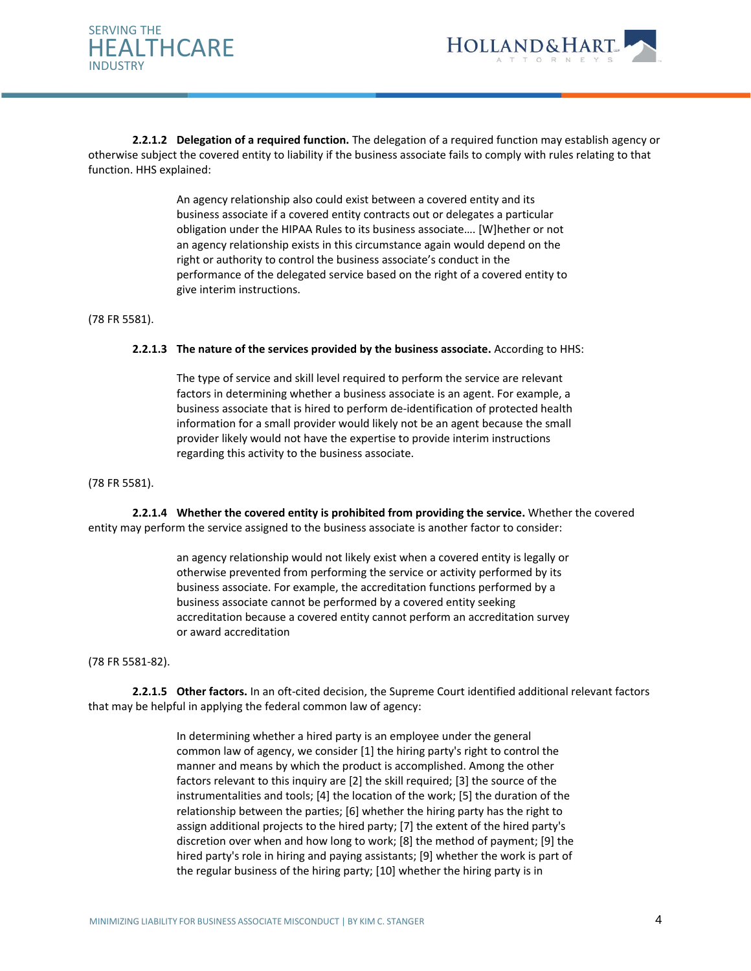



**2.2.1.2 Delegation of a required function.** The delegation of a required function may establish agency or otherwise subject the covered entity to liability if the business associate fails to comply with rules relating to that function. HHS explained:

> An agency relationship also could exist between a covered entity and its business associate if a covered entity contracts out or delegates a particular obligation under the HIPAA Rules to its business associate…. [W]hether or not an agency relationship exists in this circumstance again would depend on the right or authority to control the business associate's conduct in the performance of the delegated service based on the right of a covered entity to give interim instructions.

(78 FR 5581).

#### **2.2.1.3 The nature of the services provided by the business associate.** According to HHS:

The type of service and skill level required to perform the service are relevant factors in determining whether a business associate is an agent. For example, a business associate that is hired to perform de-identification of protected health information for a small provider would likely not be an agent because the small provider likely would not have the expertise to provide interim instructions regarding this activity to the business associate.

(78 FR 5581).

**2.2.1.4 Whether the covered entity is prohibited from providing the service.** Whether the covered entity may perform the service assigned to the business associate is another factor to consider:

> an agency relationship would not likely exist when a covered entity is legally or otherwise prevented from performing the service or activity performed by its business associate. For example, the accreditation functions performed by a business associate cannot be performed by a covered entity seeking accreditation because a covered entity cannot perform an accreditation survey or award accreditation

(78 FR 5581-82).

**2.2.1.5 Other factors.** In an oft-cited decision, the Supreme Court identified additional relevant factors that may be helpful in applying the federal common law of agency:

> In determining whether a hired party is an employee under the general common law of agency, we consider [1] the hiring party's right to control the manner and means by which the product is accomplished. Among the other factors relevant to this inquiry are [2] the skill required; [3] the source of the instrumentalities and tools; [4] the location of the work; [5] the duration of the relationship between the parties; [6] whether the hiring party has the right to assign additional projects to the hired party; [7] the extent of the hired party's discretion over when and how long to work; [8] the method of payment; [9] the hired party's role in hiring and paying assistants; [9] whether the work is part of the regular business of the hiring party; [10] whether the hiring party is in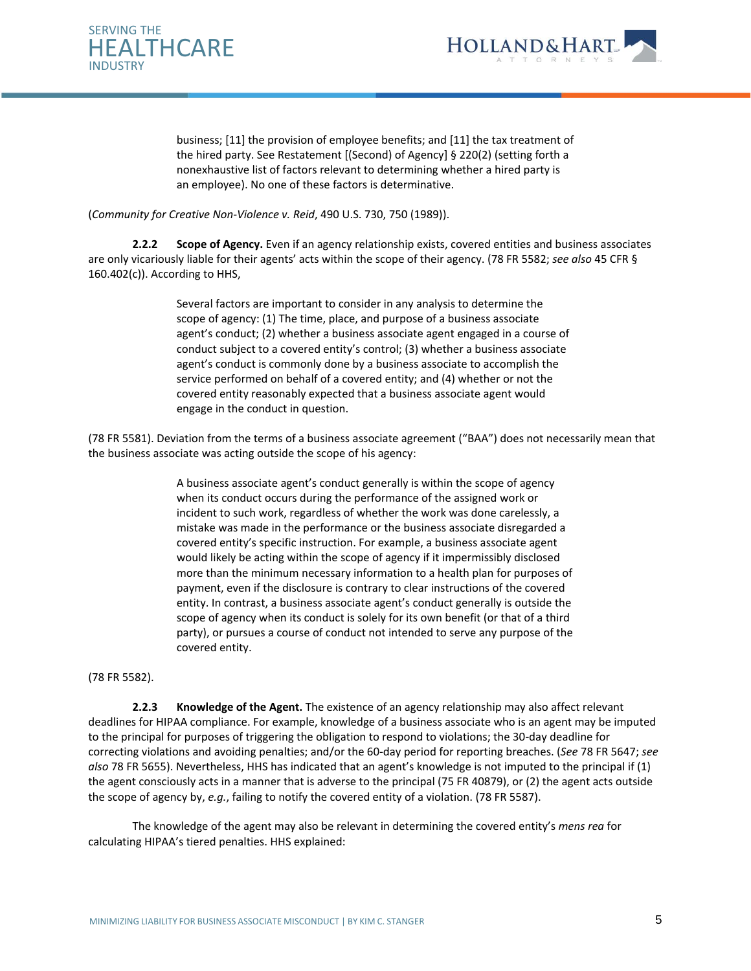



business; [11] the provision of employee benefits; and [11] the tax treatment of the hired party. See Restatement [(Second) of Agency] § 220(2) (setting forth a nonexhaustive list of factors relevant to determining whether a hired party is an employee). No one of these factors is determinative.

## (*Community for Creative Non-Violence v. Reid*, 490 U.S. 730, 750 (1989)).

**2.2.2 Scope of Agency.** Even if an agency relationship exists, covered entities and business associates are only vicariously liable for their agents' acts within the scope of their agency. (78 FR 5582; *see also* 45 CFR § 160.402(c)). According to HHS,

> Several factors are important to consider in any analysis to determine the scope of agency: (1) The time, place, and purpose of a business associate agent's conduct; (2) whether a business associate agent engaged in a course of conduct subject to a covered entity's control; (3) whether a business associate agent's conduct is commonly done by a business associate to accomplish the service performed on behalf of a covered entity; and (4) whether or not the covered entity reasonably expected that a business associate agent would engage in the conduct in question.

(78 FR 5581). Deviation from the terms of a business associate agreement ("BAA") does not necessarily mean that the business associate was acting outside the scope of his agency:

> A business associate agent's conduct generally is within the scope of agency when its conduct occurs during the performance of the assigned work or incident to such work, regardless of whether the work was done carelessly, a mistake was made in the performance or the business associate disregarded a covered entity's specific instruction. For example, a business associate agent would likely be acting within the scope of agency if it impermissibly disclosed more than the minimum necessary information to a health plan for purposes of payment, even if the disclosure is contrary to clear instructions of the covered entity. In contrast, a business associate agent's conduct generally is outside the scope of agency when its conduct is solely for its own benefit (or that of a third party), or pursues a course of conduct not intended to serve any purpose of the covered entity.

#### (78 FR 5582).

**2.2.3 Knowledge of the Agent.** The existence of an agency relationship may also affect relevant deadlines for HIPAA compliance. For example, knowledge of a business associate who is an agent may be imputed to the principal for purposes of triggering the obligation to respond to violations; the 30-day deadline for correcting violations and avoiding penalties; and/or the 60-day period for reporting breaches. (*See* 78 FR 5647; *see also* 78 FR 5655). Nevertheless, HHS has indicated that an agent's knowledge is not imputed to the principal if (1) the agent consciously acts in a manner that is adverse to the principal (75 FR 40879), or (2) the agent acts outside the scope of agency by, *e.g.*, failing to notify the covered entity of a violation. (78 FR 5587).

The knowledge of the agent may also be relevant in determining the covered entity's *mens rea* for calculating HIPAA's tiered penalties. HHS explained: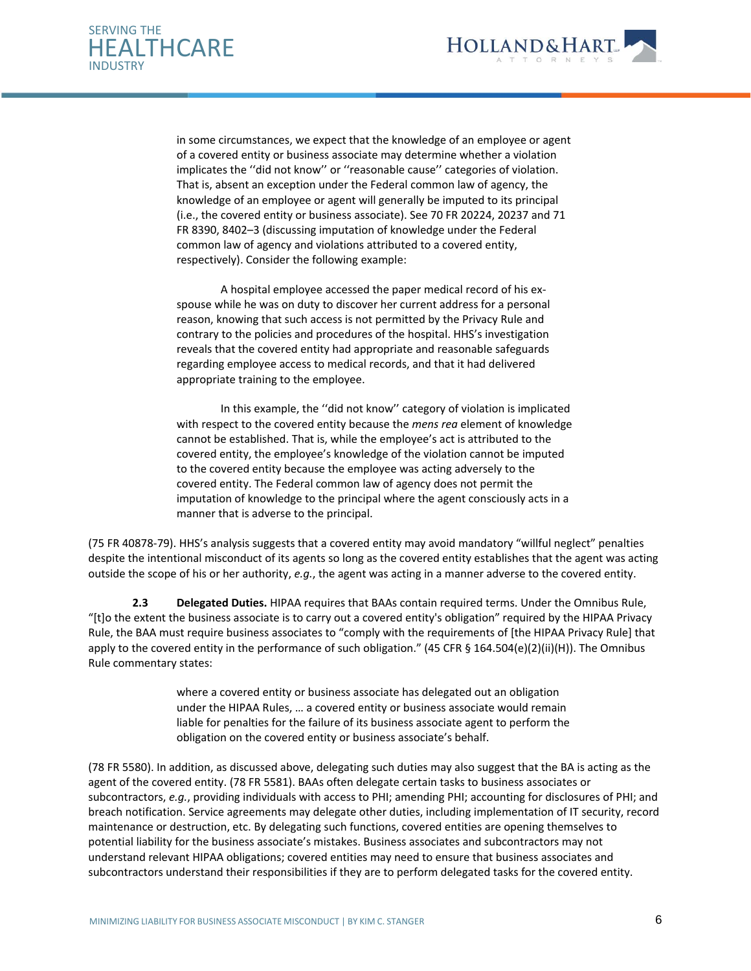



in some circumstances, we expect that the knowledge of an employee or agent of a covered entity or business associate may determine whether a violation implicates the ''did not know'' or ''reasonable cause'' categories of violation. That is, absent an exception under the Federal common law of agency, the knowledge of an employee or agent will generally be imputed to its principal (i.e., the covered entity or business associate). See 70 FR 20224, 20237 and 71 FR 8390, 8402–3 (discussing imputation of knowledge under the Federal common law of agency and violations attributed to a covered entity, respectively). Consider the following example:

A hospital employee accessed the paper medical record of his exspouse while he was on duty to discover her current address for a personal reason, knowing that such access is not permitted by the Privacy Rule and contrary to the policies and procedures of the hospital. HHS's investigation reveals that the covered entity had appropriate and reasonable safeguards regarding employee access to medical records, and that it had delivered appropriate training to the employee.

In this example, the ''did not know'' category of violation is implicated with respect to the covered entity because the *mens rea* element of knowledge cannot be established. That is, while the employee's act is attributed to the covered entity, the employee's knowledge of the violation cannot be imputed to the covered entity because the employee was acting adversely to the covered entity. The Federal common law of agency does not permit the imputation of knowledge to the principal where the agent consciously acts in a manner that is adverse to the principal.

(75 FR 40878-79). HHS's analysis suggests that a covered entity may avoid mandatory "willful neglect" penalties despite the intentional misconduct of its agents so long as the covered entity establishes that the agent was acting outside the scope of his or her authority, *e.g.*, the agent was acting in a manner adverse to the covered entity.

**2.3 Delegated Duties.** HIPAA requires that BAAs contain required terms. Under the Omnibus Rule, "[t]o the extent the business associate is to carry out a covered entity's obligation" required by the HIPAA Privacy Rule, the BAA must require business associates to "comply with the requirements of [the HIPAA Privacy Rule] that apply to the covered entity in the performance of such obligation." (45 CFR § 164.504(e)(2)(ii)(H)). The Omnibus Rule commentary states:

> where a covered entity or business associate has delegated out an obligation under the HIPAA Rules, … a covered entity or business associate would remain liable for penalties for the failure of its business associate agent to perform the obligation on the covered entity or business associate's behalf.

(78 FR 5580). In addition, as discussed above, delegating such duties may also suggest that the BA is acting as the agent of the covered entity. (78 FR 5581). BAAs often delegate certain tasks to business associates or subcontractors, *e.g.*, providing individuals with access to PHI; amending PHI; accounting for disclosures of PHI; and breach notification. Service agreements may delegate other duties, including implementation of IT security, record maintenance or destruction, etc. By delegating such functions, covered entities are opening themselves to potential liability for the business associate's mistakes. Business associates and subcontractors may not understand relevant HIPAA obligations; covered entities may need to ensure that business associates and subcontractors understand their responsibilities if they are to perform delegated tasks for the covered entity.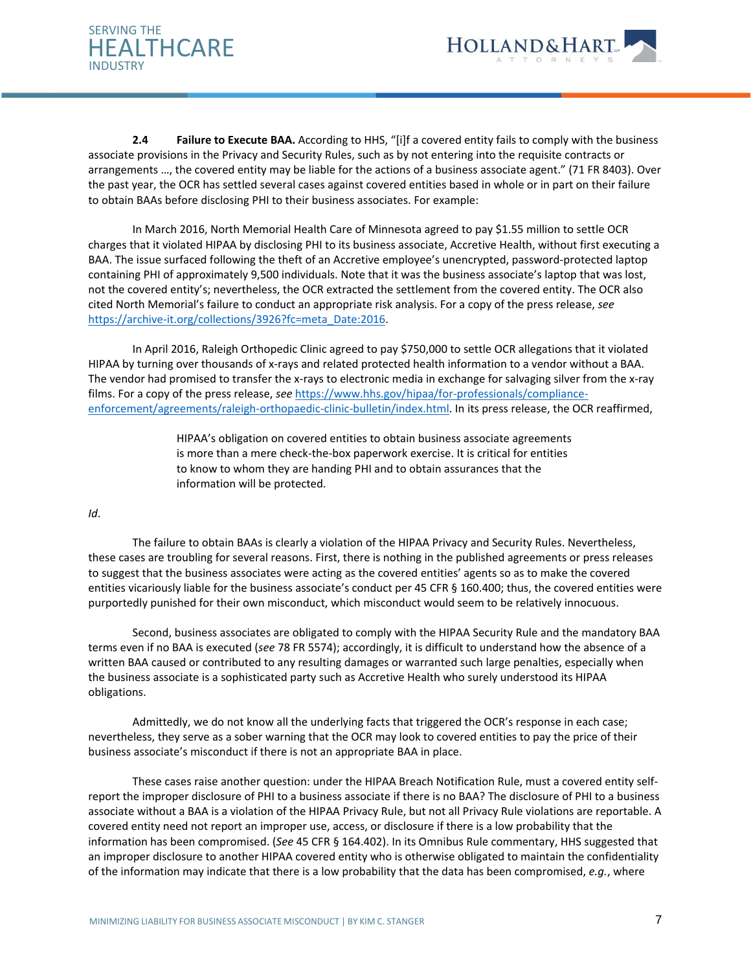



**2.4 Failure to Execute BAA.** According to HHS, "[i]f a covered entity fails to comply with the business associate provisions in the Privacy and Security Rules, such as by not entering into the requisite contracts or arrangements …, the covered entity may be liable for the actions of a business associate agent." (71 FR 8403). Over the past year, the OCR has settled several cases against covered entities based in whole or in part on their failure to obtain BAAs before disclosing PHI to their business associates. For example:

In March 2016, North Memorial Health Care of Minnesota agreed to pay \$1.55 million to settle OCR charges that it violated HIPAA by disclosing PHI to its business associate, Accretive Health, without first executing a BAA. The issue surfaced following the theft of an Accretive employee's unencrypted, password-protected laptop containing PHI of approximately 9,500 individuals. Note that it was the business associate's laptop that was lost, not the covered entity's; nevertheless, the OCR extracted the settlement from the covered entity. The OCR also cited North Memorial's failure to conduct an appropriate risk analysis. For a copy of the press release, *see* [https://archive-it.org/collections/3926?fc=meta\\_Date:2016.](https://archive-it.org/collections/3926?fc=meta_Date:2016)

In April 2016, Raleigh Orthopedic Clinic agreed to pay \$750,000 to settle OCR allegations that it violated HIPAA by turning over thousands of x-rays and related protected health information to a vendor without a BAA. The vendor had promised to transfer the x-rays to electronic media in exchange for salvaging silver from the x-ray films. For a copy of the press release, *see* [https://www.hhs.gov/hipaa/for-professionals/compliance](https://www.hhs.gov/hipaa/for-professionals/compliance-enforcement/agreements/raleigh-orthopaedic-clinic-bulletin/index.html)[enforcement/agreements/raleigh-orthopaedic-clinic-bulletin/index.html.](https://www.hhs.gov/hipaa/for-professionals/compliance-enforcement/agreements/raleigh-orthopaedic-clinic-bulletin/index.html) In its press release, the OCR reaffirmed,

> HIPAA's obligation on covered entities to obtain business associate agreements is more than a mere check-the-box paperwork exercise. It is critical for entities to know to whom they are handing PHI and to obtain assurances that the information will be protected.

## *Id*.

The failure to obtain BAAs is clearly a violation of the HIPAA Privacy and Security Rules. Nevertheless, these cases are troubling for several reasons. First, there is nothing in the published agreements or press releases to suggest that the business associates were acting as the covered entities' agents so as to make the covered entities vicariously liable for the business associate's conduct per 45 CFR § 160.400; thus, the covered entities were purportedly punished for their own misconduct, which misconduct would seem to be relatively innocuous.

Second, business associates are obligated to comply with the HIPAA Security Rule and the mandatory BAA terms even if no BAA is executed (*see* 78 FR 5574); accordingly, it is difficult to understand how the absence of a written BAA caused or contributed to any resulting damages or warranted such large penalties, especially when the business associate is a sophisticated party such as Accretive Health who surely understood its HIPAA obligations.

Admittedly, we do not know all the underlying facts that triggered the OCR's response in each case; nevertheless, they serve as a sober warning that the OCR may look to covered entities to pay the price of their business associate's misconduct if there is not an appropriate BAA in place.

These cases raise another question: under the HIPAA Breach Notification Rule, must a covered entity selfreport the improper disclosure of PHI to a business associate if there is no BAA? The disclosure of PHI to a business associate without a BAA is a violation of the HIPAA Privacy Rule, but not all Privacy Rule violations are reportable. A covered entity need not report an improper use, access, or disclosure if there is a low probability that the information has been compromised. (*See* 45 CFR § 164.402). In its Omnibus Rule commentary, HHS suggested that an improper disclosure to another HIPAA covered entity who is otherwise obligated to maintain the confidentiality of the information may indicate that there is a low probability that the data has been compromised, *e.g.*, where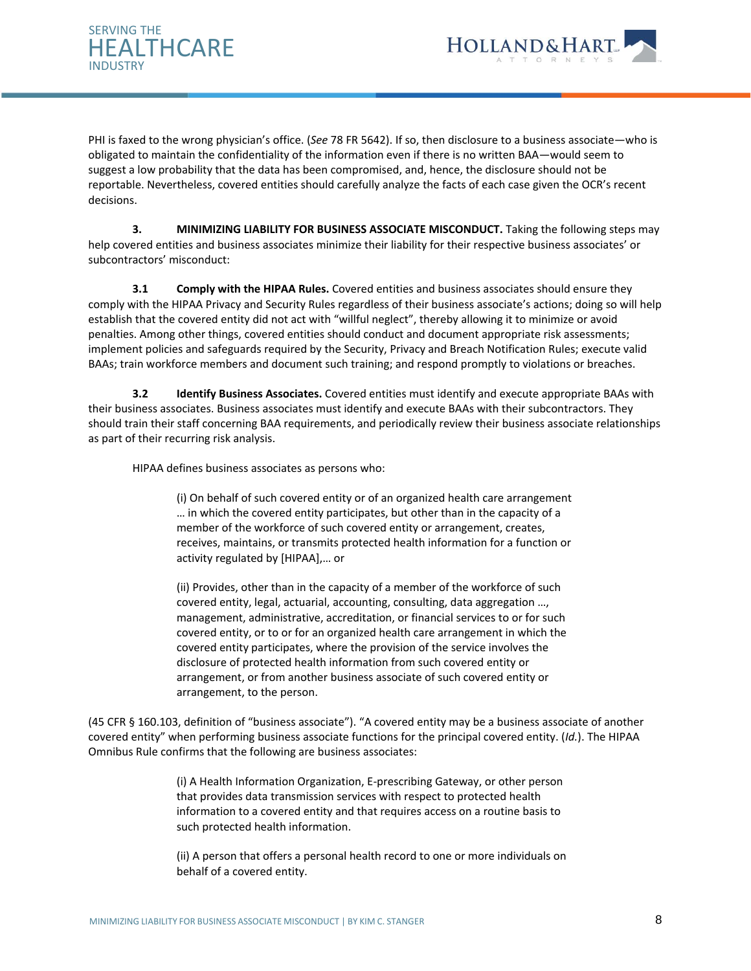



PHI is faxed to the wrong physician's office. (*See* 78 FR 5642). If so, then disclosure to a business associate—who is obligated to maintain the confidentiality of the information even if there is no written BAA—would seem to suggest a low probability that the data has been compromised, and, hence, the disclosure should not be reportable. Nevertheless, covered entities should carefully analyze the facts of each case given the OCR's recent decisions.

**3. MINIMIZING LIABILITY FOR BUSINESS ASSOCIATE MISCONDUCT.** Taking the following steps may help covered entities and business associates minimize their liability for their respective business associates' or subcontractors' misconduct:

**3.1 Comply with the HIPAA Rules.** Covered entities and business associates should ensure they comply with the HIPAA Privacy and Security Rules regardless of their business associate's actions; doing so will help establish that the covered entity did not act with "willful neglect", thereby allowing it to minimize or avoid penalties. Among other things, covered entities should conduct and document appropriate risk assessments; implement policies and safeguards required by the Security, Privacy and Breach Notification Rules; execute valid BAAs; train workforce members and document such training; and respond promptly to violations or breaches.

**3.2 Identify Business Associates.** Covered entities must identify and execute appropriate BAAs with their business associates. Business associates must identify and execute BAAs with their subcontractors. They should train their staff concerning BAA requirements, and periodically review their business associate relationships as part of their recurring risk analysis.

HIPAA defines business associates as persons who:

(i) On behalf of such covered entity or of an organized health care arrangement … in which the covered entity participates, but other than in the capacity of a member of the workforce of such covered entity or arrangement, creates, receives, maintains, or transmits protected health information for a function or activity regulated by [HIPAA],… or

(ii) Provides, other than in the capacity of a member of the workforce of such covered entity, legal, actuarial, accounting, consulting, data aggregation …, management, administrative, accreditation, or financial services to or for such covered entity, or to or for an organized health care arrangement in which the covered entity participates, where the provision of the service involves the disclosure of protected health information from such covered entity or arrangement, or from another business associate of such covered entity or arrangement, to the person.

(45 CFR § 160.103, definition of "business associate"). "A covered entity may be a business associate of another covered entity" when performing business associate functions for the principal covered entity. (*Id.*). The HIPAA Omnibus Rule confirms that the following are business associates:

> (i) A Health Information Organization, E-prescribing Gateway, or other person that provides data transmission services with respect to protected health information to a covered entity and that requires access on a routine basis to such protected health information.

> (ii) A person that offers a personal health record to one or more individuals on behalf of a covered entity.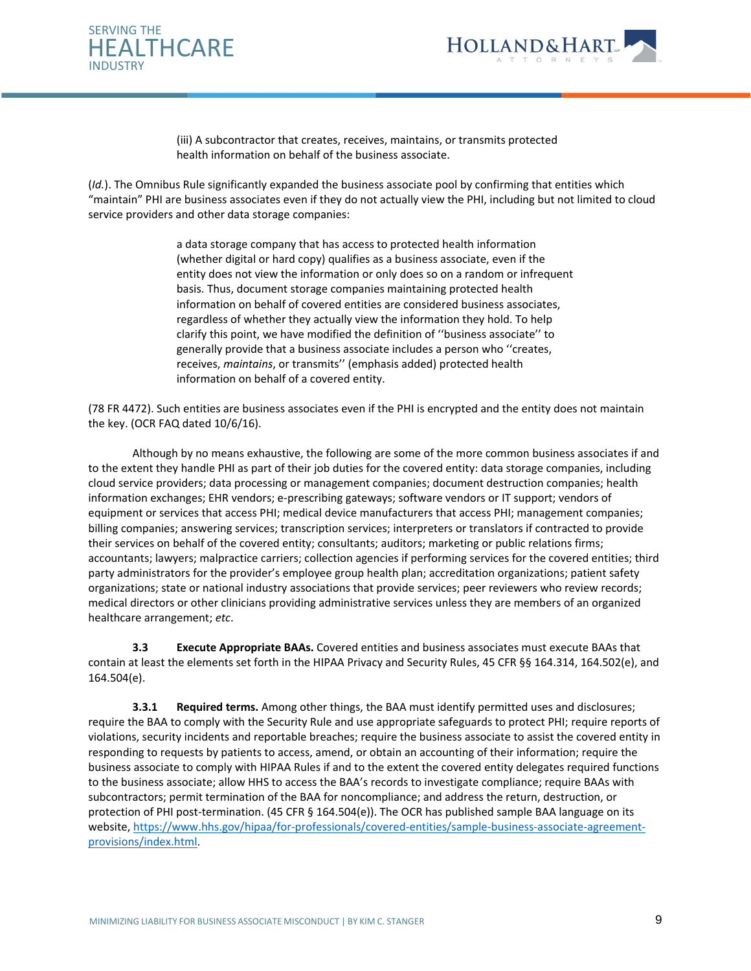



(iii) A subcontractor that creates, receives, maintains, or transmits protected health information on behalf of the business associate.

(*Id.*). The Omnibus Rule significantly expanded the business associate pool by confirming that entities which "maintain" PHI are business associates even if they do not actually view the PHI, including but not limited to cloud service providers and other data storage companies:

> a data storage company that has access to protected health information (whether digital or hard copy) qualifies as a business associate, even if the entity does not view the information or only does so on a random or infrequent basis. Thus, document storage companies maintaining protected health information on behalf of covered entities are considered business associates, regardless of whether they actually view the information they hold. To help clarify this point, we have modified the definition of ''business associate'' to generally provide that a business associate includes a person who ''creates, receives, *maintains*, or transmits'' (emphasis added) protected health information on behalf of a covered entity.

(78 FR 4472). Such entities are business associates even if the PHI is encrypted and the entity does not maintain the key. (OCR FAQ dated 10/6/16).

Although by no means exhaustive, the following are some of the more common business associates if and to the extent they handle PHI as part of their job duties for the covered entity: data storage companies, including cloud service providers; data processing or management companies; document destruction companies; health information exchanges; EHR vendors; e-prescribing gateways; software vendors or IT support; vendors of equipment or services that access PHI; medical device manufacturers that access PHI; management companies; billing companies; answering services; transcription services; interpreters or translators if contracted to provide their services on behalf of the covered entity; consultants; auditors; marketing or public relations firms; accountants; lawyers; malpractice carriers; collection agencies if performing services for the covered entities; third party administrators for the provider's employee group health plan; accreditation organizations; patient safety organizations; state or national industry associations that provide services; peer reviewers who review records; medical directors or other clinicians providing administrative services unless they are members of an organized healthcare arrangement; *etc*.

**3.3 Execute Appropriate BAAs.** Covered entities and business associates must execute BAAs that contain at least the elements set forth in the HIPAA Privacy and Security Rules, 45 CFR §§ 164.314, 164.502(e), and 164.504(e).

**3.3.1 Required terms.** Among other things, the BAA must identify permitted uses and disclosures; require the BAA to comply with the Security Rule and use appropriate safeguards to protect PHI; require reports of violations, security incidents and reportable breaches; require the business associate to assist the covered entity in responding to requests by patients to access, amend, or obtain an accounting of their information; require the business associate to comply with HIPAA Rules if and to the extent the covered entity delegates required functions to the business associate; allow HHS to access the BAA's records to investigate compliance; require BAAs with subcontractors; permit termination of the BAA for noncompliance; and address the return, destruction, or protection of PHI post-termination. (45 CFR § 164.504(e)). The OCR has published sample BAA language on its website[, https://www.hhs.gov/hipaa/for-professionals/covered-entities/sample-business-associate-agreement](https://www.hhs.gov/hipaa/for-professionals/covered-entities/sample-business-associate-agreement-provisions/index.html)[provisions/index.html.](https://www.hhs.gov/hipaa/for-professionals/covered-entities/sample-business-associate-agreement-provisions/index.html)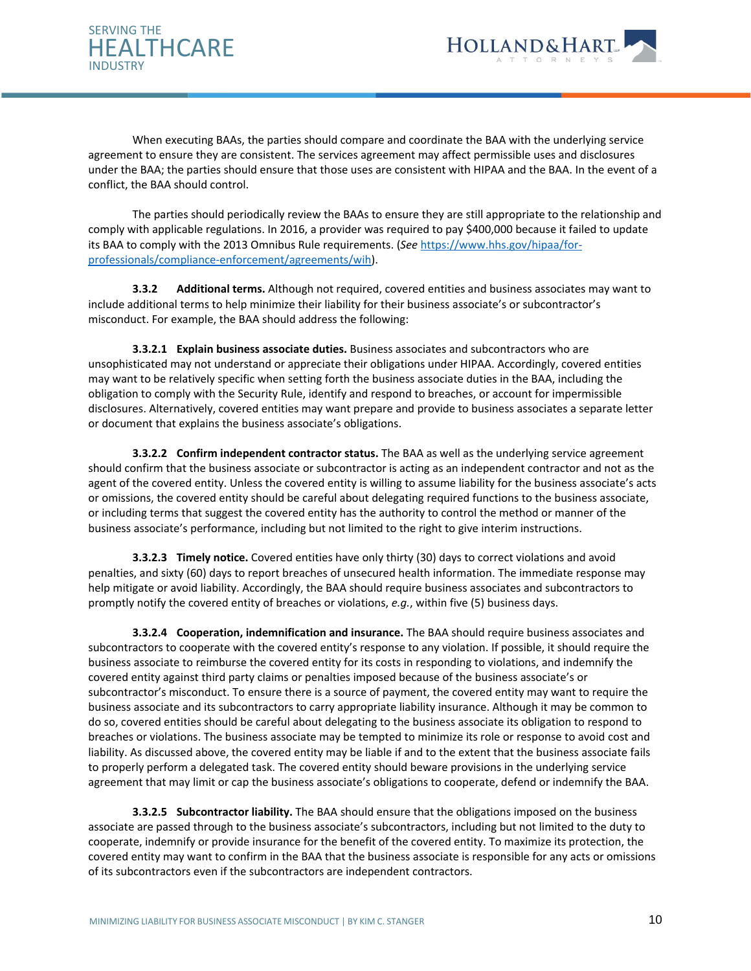



When executing BAAs, the parties should compare and coordinate the BAA with the underlying service agreement to ensure they are consistent. The services agreement may affect permissible uses and disclosures under the BAA; the parties should ensure that those uses are consistent with HIPAA and the BAA. In the event of a conflict, the BAA should control.

The parties should periodically review the BAAs to ensure they are still appropriate to the relationship and comply with applicable regulations. In 2016, a provider was required to pay \$400,000 because it failed to update its BAA to comply with the 2013 Omnibus Rule requirements. (*See* [https://www.hhs.gov/hipaa/for](https://www.hhs.gov/hipaa/for-professionals/compliance-enforcement/agreements/wih)[professionals/compliance-enforcement/agreements/wih\)](https://www.hhs.gov/hipaa/for-professionals/compliance-enforcement/agreements/wih).

**3.3.2 Additional terms.** Although not required, covered entities and business associates may want to include additional terms to help minimize their liability for their business associate's or subcontractor's misconduct. For example, the BAA should address the following:

**3.3.2.1 Explain business associate duties.** Business associates and subcontractors who are unsophisticated may not understand or appreciate their obligations under HIPAA. Accordingly, covered entities may want to be relatively specific when setting forth the business associate duties in the BAA, including the obligation to comply with the Security Rule, identify and respond to breaches, or account for impermissible disclosures. Alternatively, covered entities may want prepare and provide to business associates a separate letter or document that explains the business associate's obligations.

**3.3.2.2 Confirm independent contractor status.** The BAA as well as the underlying service agreement should confirm that the business associate or subcontractor is acting as an independent contractor and not as the agent of the covered entity. Unless the covered entity is willing to assume liability for the business associate's acts or omissions, the covered entity should be careful about delegating required functions to the business associate, or including terms that suggest the covered entity has the authority to control the method or manner of the business associate's performance, including but not limited to the right to give interim instructions.

**3.3.2.3 Timely notice.** Covered entities have only thirty (30) days to correct violations and avoid penalties, and sixty (60) days to report breaches of unsecured health information. The immediate response may help mitigate or avoid liability. Accordingly, the BAA should require business associates and subcontractors to promptly notify the covered entity of breaches or violations, *e.g.*, within five (5) business days.

**3.3.2.4 Cooperation, indemnification and insurance.** The BAA should require business associates and subcontractors to cooperate with the covered entity's response to any violation. If possible, it should require the business associate to reimburse the covered entity for its costs in responding to violations, and indemnify the covered entity against third party claims or penalties imposed because of the business associate's or subcontractor's misconduct. To ensure there is a source of payment, the covered entity may want to require the business associate and its subcontractors to carry appropriate liability insurance. Although it may be common to do so, covered entities should be careful about delegating to the business associate its obligation to respond to breaches or violations. The business associate may be tempted to minimize its role or response to avoid cost and liability. As discussed above, the covered entity may be liable if and to the extent that the business associate fails to properly perform a delegated task. The covered entity should beware provisions in the underlying service agreement that may limit or cap the business associate's obligations to cooperate, defend or indemnify the BAA.

**3.3.2.5 Subcontractor liability.** The BAA should ensure that the obligations imposed on the business associate are passed through to the business associate's subcontractors, including but not limited to the duty to cooperate, indemnify or provide insurance for the benefit of the covered entity. To maximize its protection, the covered entity may want to confirm in the BAA that the business associate is responsible for any acts or omissions of its subcontractors even if the subcontractors are independent contractors.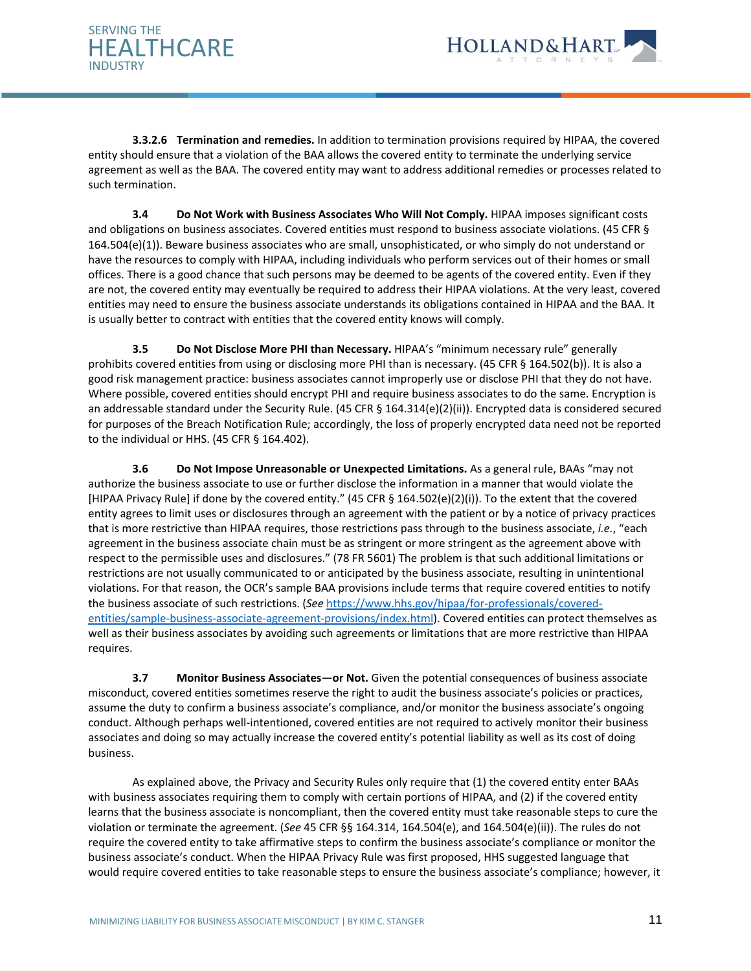



**3.3.2.6 Termination and remedies.** In addition to termination provisions required by HIPAA, the covered entity should ensure that a violation of the BAA allows the covered entity to terminate the underlying service agreement as well as the BAA. The covered entity may want to address additional remedies or processes related to such termination.

**3.4 Do Not Work with Business Associates Who Will Not Comply.** HIPAA imposes significant costs and obligations on business associates. Covered entities must respond to business associate violations. (45 CFR § 164.504(e)(1)). Beware business associates who are small, unsophisticated, or who simply do not understand or have the resources to comply with HIPAA, including individuals who perform services out of their homes or small offices. There is a good chance that such persons may be deemed to be agents of the covered entity. Even if they are not, the covered entity may eventually be required to address their HIPAA violations. At the very least, covered entities may need to ensure the business associate understands its obligations contained in HIPAA and the BAA. It is usually better to contract with entities that the covered entity knows will comply.

**3.5 Do Not Disclose More PHI than Necessary.** HIPAA's "minimum necessary rule" generally prohibits covered entities from using or disclosing more PHI than is necessary. (45 CFR § 164.502(b)). It is also a good risk management practice: business associates cannot improperly use or disclose PHI that they do not have. Where possible, covered entities should encrypt PHI and require business associates to do the same. Encryption is an addressable standard under the Security Rule. (45 CFR § 164.314(e)(2)(ii)). Encrypted data is considered secured for purposes of the Breach Notification Rule; accordingly, the loss of properly encrypted data need not be reported to the individual or HHS. (45 CFR § 164.402).

**3.6 Do Not Impose Unreasonable or Unexpected Limitations.** As a general rule, BAAs "may not authorize the business associate to use or further disclose the information in a manner that would violate the [HIPAA Privacy Rule] if done by the covered entity." (45 CFR § 164.502(e)(2)(i)). To the extent that the covered entity agrees to limit uses or disclosures through an agreement with the patient or by a notice of privacy practices that is more restrictive than HIPAA requires, those restrictions pass through to the business associate, *i.e.*, "each agreement in the business associate chain must be as stringent or more stringent as the agreement above with respect to the permissible uses and disclosures." (78 FR 5601) The problem is that such additional limitations or restrictions are not usually communicated to or anticipated by the business associate, resulting in unintentional violations. For that reason, the OCR's sample BAA provisions include terms that require covered entities to notify the business associate of such restrictions. (*See* [https://www.hhs.gov/hipaa/for-professionals/covered](https://www.hhs.gov/hipaa/for-professionals/covered-entities/sample-business-associate-agreement-provisions/index.html)[entities/sample-business-associate-agreement-provisions/index.html\)](https://www.hhs.gov/hipaa/for-professionals/covered-entities/sample-business-associate-agreement-provisions/index.html). Covered entities can protect themselves as well as their business associates by avoiding such agreements or limitations that are more restrictive than HIPAA requires.

**3.7 Monitor Business Associates—or Not.** Given the potential consequences of business associate misconduct, covered entities sometimes reserve the right to audit the business associate's policies or practices, assume the duty to confirm a business associate's compliance, and/or monitor the business associate's ongoing conduct. Although perhaps well-intentioned, covered entities are not required to actively monitor their business associates and doing so may actually increase the covered entity's potential liability as well as its cost of doing business.

As explained above, the Privacy and Security Rules only require that (1) the covered entity enter BAAs with business associates requiring them to comply with certain portions of HIPAA, and (2) if the covered entity learns that the business associate is noncompliant, then the covered entity must take reasonable steps to cure the violation or terminate the agreement. (*See* 45 CFR §§ 164.314, 164.504(e), and 164.504(e)(ii)). The rules do not require the covered entity to take affirmative steps to confirm the business associate's compliance or monitor the business associate's conduct. When the HIPAA Privacy Rule was first proposed, HHS suggested language that would require covered entities to take reasonable steps to ensure the business associate's compliance; however, it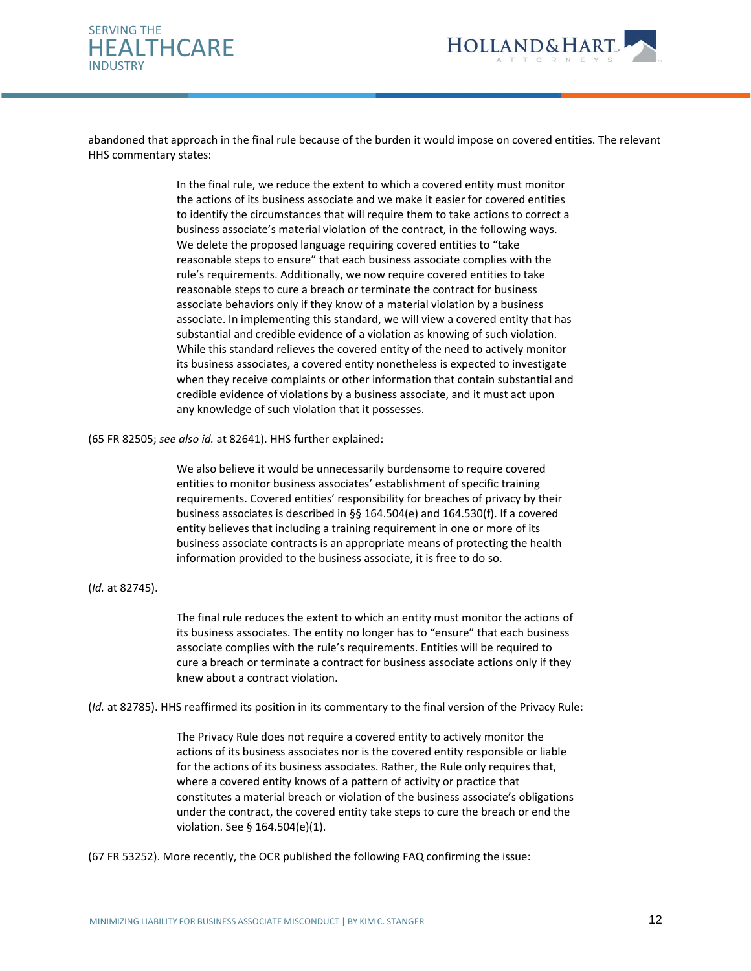



abandoned that approach in the final rule because of the burden it would impose on covered entities. The relevant HHS commentary states:

> In the final rule, we reduce the extent to which a covered entity must monitor the actions of its business associate and we make it easier for covered entities to identify the circumstances that will require them to take actions to correct a business associate's material violation of the contract, in the following ways. We delete the proposed language requiring covered entities to "take reasonable steps to ensure" that each business associate complies with the rule's requirements. Additionally, we now require covered entities to take reasonable steps to cure a breach or terminate the contract for business associate behaviors only if they know of a material violation by a business associate. In implementing this standard, we will view a covered entity that has substantial and credible evidence of a violation as knowing of such violation. While this standard relieves the covered entity of the need to actively monitor its business associates, a covered entity nonetheless is expected to investigate when they receive complaints or other information that contain substantial and credible evidence of violations by a business associate, and it must act upon any knowledge of such violation that it possesses.

(65 FR 82505; *see also id.* at 82641). HHS further explained:

We also believe it would be unnecessarily burdensome to require covered entities to monitor business associates' establishment of specific training requirements. Covered entities' responsibility for breaches of privacy by their business associates is described in §§ 164.504(e) and 164.530(f). If a covered entity believes that including a training requirement in one or more of its business associate contracts is an appropriate means of protecting the health information provided to the business associate, it is free to do so.

(*Id.* at 82745).

The final rule reduces the extent to which an entity must monitor the actions of its business associates. The entity no longer has to "ensure" that each business associate complies with the rule's requirements. Entities will be required to cure a breach or terminate a contract for business associate actions only if they knew about a contract violation.

(*Id.* at 82785). HHS reaffirmed its position in its commentary to the final version of the Privacy Rule:

The Privacy Rule does not require a covered entity to actively monitor the actions of its business associates nor is the covered entity responsible or liable for the actions of its business associates. Rather, the Rule only requires that, where a covered entity knows of a pattern of activity or practice that constitutes a material breach or violation of the business associate's obligations under the contract, the covered entity take steps to cure the breach or end the violation. See § 164.504(e)(1).

(67 FR 53252). More recently, the OCR published the following FAQ confirming the issue: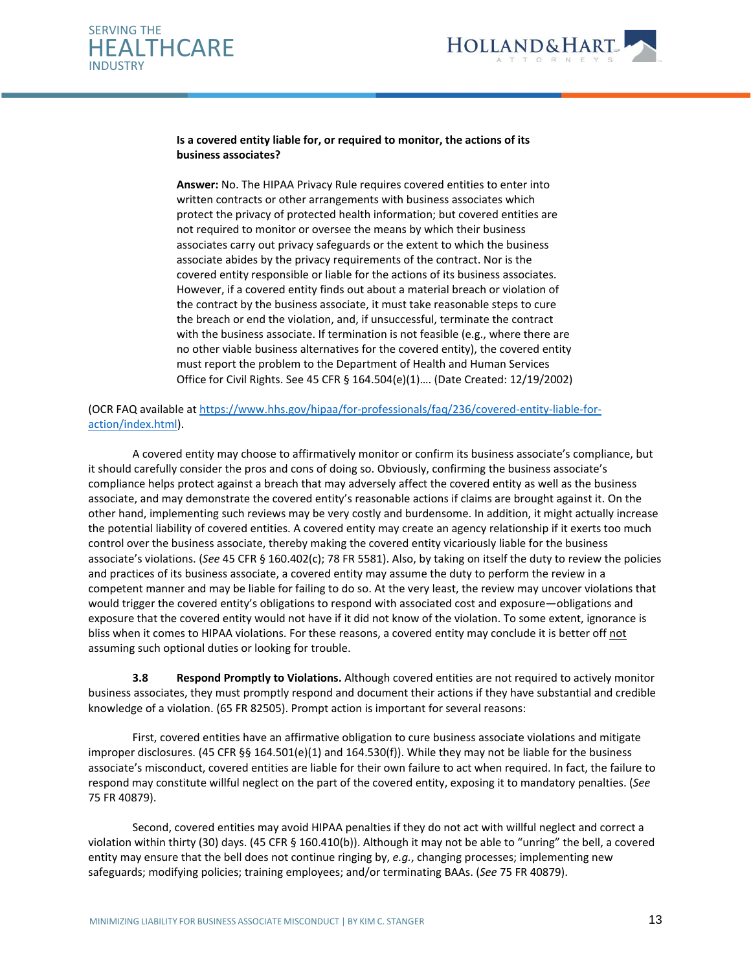



## **Is a covered entity liable for, or required to monitor, the actions of its business associates?**

**Answer:** No. The HIPAA Privacy Rule requires covered entities to enter into written contracts or other arrangements with business associates which protect the privacy of protected health information; but covered entities are not required to monitor or oversee the means by which their business associates carry out privacy safeguards or the extent to which the business associate abides by the privacy requirements of the contract. Nor is the covered entity responsible or liable for the actions of its business associates. However, if a covered entity finds out about a material breach or violation of the contract by the business associate, it must take reasonable steps to cure the breach or end the violation, and, if unsuccessful, terminate the contract with the business associate. If termination is not feasible (e.g., where there are no other viable business alternatives for the covered entity), the covered entity must report the problem to the Department of Health and Human Services Office for Civil Rights. See 45 CFR § 164.504(e)(1)…. (Date Created: 12/19/2002)

(OCR FAQ available a[t https://www.hhs.gov/hipaa/for-professionals/faq/236/covered-entity-liable-for](https://www.hhs.gov/hipaa/for-professionals/faq/236/covered-entity-liable-for-action/index.html)[action/index.html\)](https://www.hhs.gov/hipaa/for-professionals/faq/236/covered-entity-liable-for-action/index.html).

A covered entity may choose to affirmatively monitor or confirm its business associate's compliance, but it should carefully consider the pros and cons of doing so. Obviously, confirming the business associate's compliance helps protect against a breach that may adversely affect the covered entity as well as the business associate, and may demonstrate the covered entity's reasonable actions if claims are brought against it. On the other hand, implementing such reviews may be very costly and burdensome. In addition, it might actually increase the potential liability of covered entities. A covered entity may create an agency relationship if it exerts too much control over the business associate, thereby making the covered entity vicariously liable for the business associate's violations. (*See* 45 CFR § 160.402(c); 78 FR 5581). Also, by taking on itself the duty to review the policies and practices of its business associate, a covered entity may assume the duty to perform the review in a competent manner and may be liable for failing to do so. At the very least, the review may uncover violations that would trigger the covered entity's obligations to respond with associated cost and exposure—obligations and exposure that the covered entity would not have if it did not know of the violation. To some extent, ignorance is bliss when it comes to HIPAA violations. For these reasons, a covered entity may conclude it is better off not assuming such optional duties or looking for trouble.

**3.8 Respond Promptly to Violations.** Although covered entities are not required to actively monitor business associates, they must promptly respond and document their actions if they have substantial and credible knowledge of a violation. (65 FR 82505). Prompt action is important for several reasons:

First, covered entities have an affirmative obligation to cure business associate violations and mitigate improper disclosures. (45 CFR §§ 164.501(e)(1) and 164.530(f)). While they may not be liable for the business associate's misconduct, covered entities are liable for their own failure to act when required. In fact, the failure to respond may constitute willful neglect on the part of the covered entity, exposing it to mandatory penalties. (*See* 75 FR 40879).

Second, covered entities may avoid HIPAA penalties if they do not act with willful neglect and correct a violation within thirty (30) days. (45 CFR § 160.410(b)). Although it may not be able to "unring" the bell, a covered entity may ensure that the bell does not continue ringing by, *e.g.*, changing processes; implementing new safeguards; modifying policies; training employees; and/or terminating BAAs. (*See* 75 FR 40879).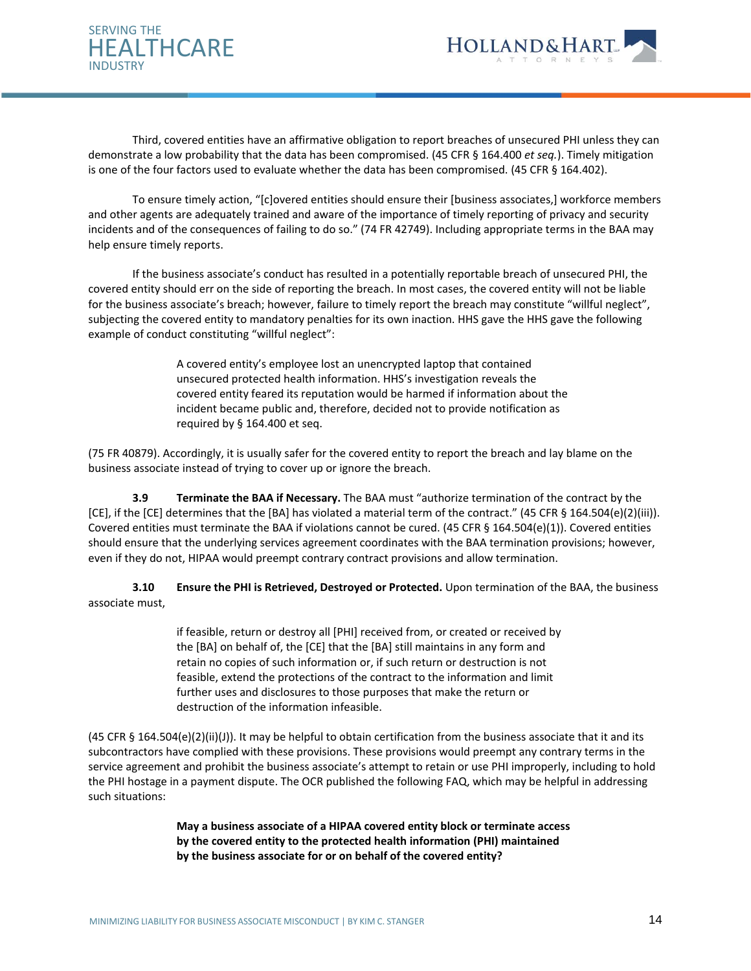



Third, covered entities have an affirmative obligation to report breaches of unsecured PHI unless they can demonstrate a low probability that the data has been compromised. (45 CFR § 164.400 *et seq.*). Timely mitigation is one of the four factors used to evaluate whether the data has been compromised. (45 CFR § 164.402).

To ensure timely action, "[c]overed entities should ensure their [business associates,] workforce members and other agents are adequately trained and aware of the importance of timely reporting of privacy and security incidents and of the consequences of failing to do so." (74 FR 42749). Including appropriate terms in the BAA may help ensure timely reports.

If the business associate's conduct has resulted in a potentially reportable breach of unsecured PHI, the covered entity should err on the side of reporting the breach. In most cases, the covered entity will not be liable for the business associate's breach; however, failure to timely report the breach may constitute "willful neglect", subjecting the covered entity to mandatory penalties for its own inaction. HHS gave the HHS gave the following example of conduct constituting "willful neglect":

> A covered entity's employee lost an unencrypted laptop that contained unsecured protected health information. HHS's investigation reveals the covered entity feared its reputation would be harmed if information about the incident became public and, therefore, decided not to provide notification as required by § 164.400 et seq.

(75 FR 40879). Accordingly, it is usually safer for the covered entity to report the breach and lay blame on the business associate instead of trying to cover up or ignore the breach.

**3.9 Terminate the BAA if Necessary.** The BAA must "authorize termination of the contract by the [CE], if the [CE] determines that the [BA] has violated a material term of the contract." (45 CFR § 164.504(e)(2)(iii)). Covered entities must terminate the BAA if violations cannot be cured. (45 CFR § 164.504(e)(1)). Covered entities should ensure that the underlying services agreement coordinates with the BAA termination provisions; however, even if they do not, HIPAA would preempt contrary contract provisions and allow termination.

**3.10 Ensure the PHI is Retrieved, Destroyed or Protected.** Upon termination of the BAA, the business associate must,

> if feasible, return or destroy all [PHI] received from, or created or received by the [BA] on behalf of, the [CE] that the [BA] still maintains in any form and retain no copies of such information or, if such return or destruction is not feasible, extend the protections of the contract to the information and limit further uses and disclosures to those purposes that make the return or destruction of the information infeasible.

(45 CFR § 164.504(e)(2)(ii)(J)). It may be helpful to obtain certification from the business associate that it and its subcontractors have complied with these provisions. These provisions would preempt any contrary terms in the service agreement and prohibit the business associate's attempt to retain or use PHI improperly, including to hold the PHI hostage in a payment dispute. The OCR published the following FAQ, which may be helpful in addressing such situations:

> **May a business associate of a HIPAA covered entity block or terminate access by the covered entity to the protected health information (PHI) maintained by the business associate for or on behalf of the covered entity?**